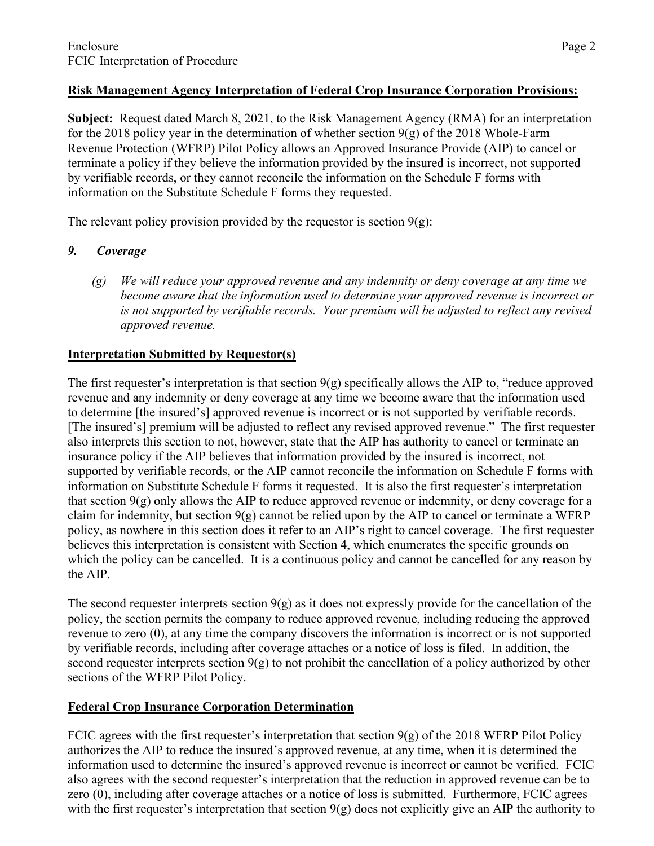# **Risk Management Agency Interpretation of Federal Crop Insurance Corporation Provisions:**

**Subject:** Request dated March 8, 2021, to the Risk Management Agency (RMA) for an interpretation for the 2018 policy year in the determination of whether section  $9(g)$  of the 2018 Whole-Farm Revenue Protection (WFRP) Pilot Policy allows an Approved Insurance Provide (AIP) to cancel or terminate a policy if they believe the information provided by the insured is incorrect, not supported by verifiable records, or they cannot reconcile the information on the Schedule F forms with information on the Substitute Schedule F forms they requested.

The relevant policy provision provided by the requestor is section  $9(g)$ :

# *9. Coverage*

*(g) We will reduce your approved revenue and any indemnity or deny coverage at any time we become aware that the information used to determine your approved revenue is incorrect or is not supported by verifiable records. Your premium will be adjusted to reflect any revised approved revenue.*

# **Interpretation Submitted by Requestor(s)**

The first requester's interpretation is that section  $9(g)$  specifically allows the AIP to, "reduce approved" revenue and any indemnity or deny coverage at any time we become aware that the information used to determine [the insured's] approved revenue is incorrect or is not supported by verifiable records. [The insured's] premium will be adjusted to reflect any revised approved revenue." The first requester also interprets this section to not, however, state that the AIP has authority to cancel or terminate an insurance policy if the AIP believes that information provided by the insured is incorrect, not supported by verifiable records, or the AIP cannot reconcile the information on Schedule F forms with information on Substitute Schedule F forms it requested. It is also the first requester's interpretation that section  $9(g)$  only allows the AIP to reduce approved revenue or indemnity, or deny coverage for a claim for indemnity, but section  $9(g)$  cannot be relied upon by the AIP to cancel or terminate a WFRP policy, as nowhere in this section does it refer to an AIP's right to cancel coverage. The first requester believes this interpretation is consistent with Section 4, which enumerates the specific grounds on which the policy can be cancelled. It is a continuous policy and cannot be cancelled for any reason by the AIP.

The second requester interprets section  $9(g)$  as it does not expressly provide for the cancellation of the policy, the section permits the company to reduce approved revenue, including reducing the approved revenue to zero (0), at any time the company discovers the information is incorrect or is not supported by verifiable records, including after coverage attaches or a notice of loss is filed. In addition, the second requester interprets section  $9(g)$  to not prohibit the cancellation of a policy authorized by other sections of the WFRP Pilot Policy.

# **Federal Crop Insurance Corporation Determination**

FCIC agrees with the first requester's interpretation that section  $9(g)$  of the 2018 WFRP Pilot Policy authorizes the AIP to reduce the insured's approved revenue, at any time, when it is determined the information used to determine the insured's approved revenue is incorrect or cannot be verified. FCIC also agrees with the second requester's interpretation that the reduction in approved revenue can be to zero (0), including after coverage attaches or a notice of loss is submitted. Furthermore, FCIC agrees with the first requester's interpretation that section  $9(g)$  does not explicitly give an AIP the authority to